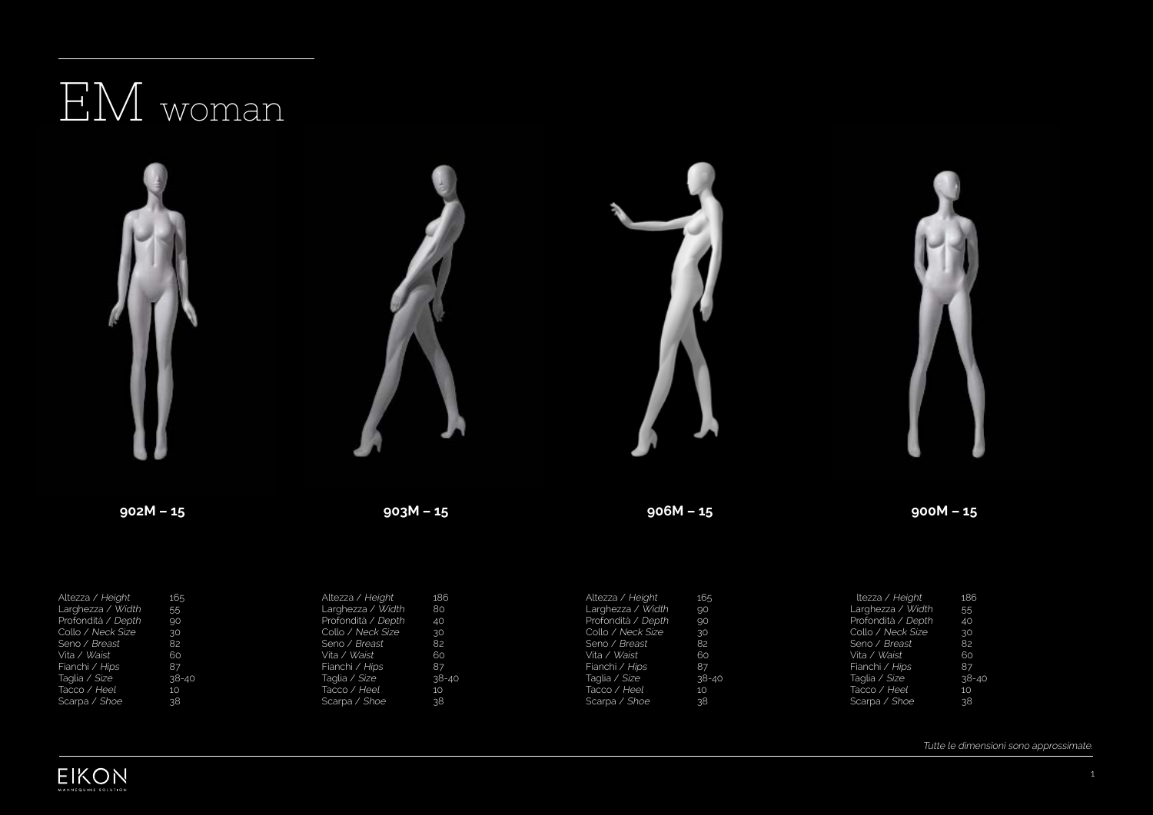## EM woman



| $\frac{1}{2}$      | ⊥∪ູງ      | $\frac{1}{2}$      | ᅭ         | $\frac{1}{2}$      | ⊥ບ:)      | 10220710           | TOO             |
|--------------------|-----------|--------------------|-----------|--------------------|-----------|--------------------|-----------------|
| Larghezza / Width  | 55        | Larghezza / Width  | 80        | Larghezza / Width  | .90       | Larghezza / Width  | 55              |
| Profondità / Depth | .90       | Profondità / Depth | 40        | Profondità / Depth | .90       | Profondità / Depth | 40              |
| Collo / Neck Size  | 30        | Collo / Neck Size  | 30        | Collo / Neck Size  | 30        | Collo / Neck Size  | 30.             |
| Seno / Breast      | 82        | Seno / Breast      | 82        | Seno / Breast      | 82        | Seno / Breast      | -82             |
| Vita / Waist       | 60        | Vita / Waist       | 60        | Vita / Waist       | 60        | Vita / Waist       | 60              |
| Fianchi / Hips     | 87        | Fianchi / Hips     | 87        | Fianchi / Hips     | -87       | Fianchi / Hips     | 87              |
| Taglia / Size      | $38 - 40$ | Taqlia / Size      | $38 - 40$ | Taqlia / Size      | $38 - 40$ | Taglia / Size      | 38-40           |
| Tacco / Heel       | 10        | Tacco / Heel       | 10        | Tacco / Heel       | 10        | Tacco / Heel       | 10              |
| Scarpa / Shoe      | 38        | Scarpa / Shoe      | 38.       | Scarpa / Shoe      | .38.      | Scarpa / Shoe      | 38 <sub>1</sub> |
|                    |           |                    |           |                    |           |                    |                 |

Tutte le dimensioni sono approssimate.